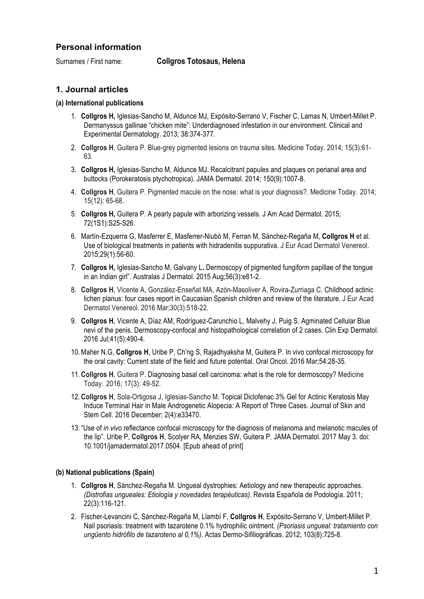# **Personal information**

Surnames / First name: **Collgros Totosaus, Helena**

## **1. Journal articles**

### **(a) International publications**

- 1. **Collgros H,** Iglesias-Sancho M, Aldunce MJ, Expósito-Serrano V, Fischer C, Lamas N, Umbert-Millet P. Dermanyssus gallinae "chicken mite": Underdiagnosed infestation in our environment. Clinical and Experimental Dermatology. 2013; 38:374-377.
- 2. **Collgros H**, Guitera P. Blue-grey pigmented lesions on trauma sites. Medicine Today. 2014; 15(3):61- 63.
- 3. **Collgros H,** Iglesias-Sancho M, Aldunce MJ**.** Recalcitrant papules and plaques on perianal area and buttocks (Porokeratosis ptychotropica). JAMA Dermatol. 2014; 150(9):1007-8.
- 4. **Collgros H**, Guitera P. Pigmented macule on the nose: what is your diagnosis?. Medicine Today. 2014; 15(12): 65-68.
- 5. **Collgros H,** Guitera P. A pearly papule with arborizing vessels. J Am Acad Dermatol. 2015; 72(1S1):S25-S26.
- 6. Martín-Ezquerra G, Masferrer E, Masferrer-Niubò M, Ferran M, Sánchez-Regaña M, **Collgros H** et al. Use of biological treatments in patients with hidradenitis suppurativa. J Eur Acad Dermatol Venereol. 2015;29(1):56-60.
- 7. **Collgros H,** Iglesias-Sancho M, Galvany L**.** Dermoscopy of pigmented fungiform papillae of the tongue in an Indian girl". Australas J Dermatol. 2015 Aug;56(3):e81-2.
- 8. **Collgros H**, Vicente A, González-Enseñat MA, Azón-Masoliver A, Rovira-Zurriaga C. Childhood actinic lichen planus: four cases report in Caucasian Spanish children and review of the literature. J Eur Acad Dermatol Venereol. 2016 Mar;30(3):518-22.
- 9. **Collgros H**, Vicente A, Díaz AM, Rodríguez-Carunchio L, Malvehy J, Puig S. Agminated Cellular Blue nevi of the penis. Dermoscopy-confocal and histopathological correlation of 2 cases. Clin Exp Dermatol. 2016 Jul;41(5):490-4.
- 10.Maher N.G, **Collgros H**, Uribe P, Ch'ng S, Rajadhyaksha M, Guitera P. In vivo confocal microscopy for the oral cavity: Current state of the field and future potential. Oral Oncol. 2016 Mar;54:28-35.
- 11. **Collgros H**, Guitera P. Diagnosing basal cell carcinoma: what is the role for dermoscopy? Medicine Today. 2016; 17(3): 49-52.
- 12. **Collgros H**, Sola-Ortigosa J, Iglesias-Sancho M. Topical Diclofenac 3% Gel for Actinic Keratosis May Induce Terminal Hair in Male Androgenetic Alopecia: A Report of Three Cases. Journal of Skin and Stem Cell. 2016 December; 2(4):e33470.
- 13. "Use of *in vivo* reflectance confocal microscopy for the diagnosis of melanoma and melanotic macules of the lip". Uribe P, **Collgros H**, Scolyer RA, Menzies SW, Guitera P. JAMA Dermatol. 2017 May 3. doi: 10.1001/jamadermatol.2017.0504. [Epub ahead of print]

### **(b) National publications (Spain)**

- 1. **Collgros H**, Sánchez-Regaña M. Ungueal dystrophies: Aetiology and new therapeutic approaches. *(Distrofias ungueales: Etiología y novedades terapéuticas)*. Revista Española de Podología. 2011; 22(3):116-121.
- 2. Fischer-Levancini C, Sánchez-Regaña M, Llambí F, **Collgros H**, Expósito-Serrano V, Umbert-Millet P. Nail psoriasis: treatment with tazarotene 0.1% hydrophilic ointment. *(Psoriasis ungueal: tratamiento con ungüento hidrófilo de tazaroteno al 0,1%)*. Actas Dermo-Sifiliográficas. 2012; 103(8):725-8.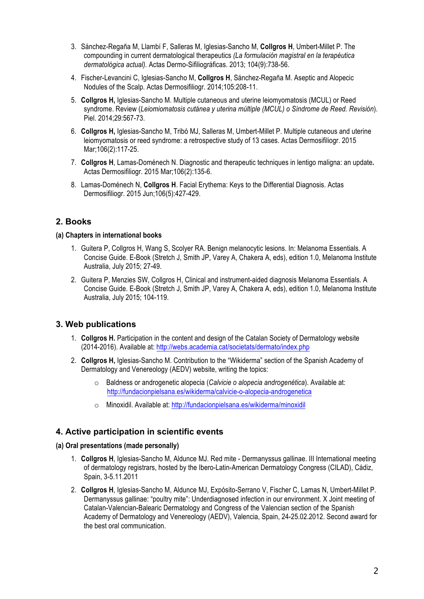- 3. Sánchez-Regaña M, Llambí F, Salleras M, Iglesias-Sancho M, **Collgros H**, Umbert-Millet P. The compounding in current dermatological therapeutics *(La formulación magistral en la terapéutica dermatológica actual).* Actas Dermo-Sifiliográficas. 2013; 104(9):738-56.
- 4. Fischer-Levancini C, Iglesias-Sancho M, **Collgros H**, Sánchez-Regaña M. Aseptic and Alopecic Nodules of the Scalp. Actas Dermosifiliogr. 2014;105:208-11.
- 5. **Collgros H,** Iglesias-Sancho M. Multiple cutaneous and uterine leiomyomatosis (MCUL) or Reed syndrome. Review (*Leiomiomatosis cutánea y uterina múltiple (MCUL) o Síndrome de Reed. Revisión*). Piel. 2014;29:567-73.
- 6. **Collgros H,** Iglesias-Sancho M, Tribó MJ, Salleras M, Umbert-Millet P. Multiple cutaneous and uterine leiomyomatosis or reed syndrome: a retrospective study of 13 cases. Actas Dermosifiliogr. 2015 Mar; 106(2): 117-25.
- 7. **Collgros H**, Lamas-Doménech N. Diagnostic and therapeutic techniques in lentigo maligna: an update**.**  Actas Dermosifiliogr. 2015 Mar;106(2):135-6.
- 8. Lamas-Doménech N, **Collgros H**. Facial Erythema: Keys to the Differential Diagnosis. Actas Dermosifiliogr. 2015 Jun;106(5):427-429.

# **2. Books**

### **(a) Chapters in international books**

- 1. Guitera P, Collgros H, Wang S, Scolyer RA. Benign melanocytic lesions. In: Melanoma Essentials. A Concise Guide. E-Book (Stretch J, Smith JP, Varey A, Chakera A, eds), edition 1.0, Melanoma Institute Australia, July 2015; 27-49.
- 2. Guitera P, Menzies SW, Collgros H, Clinical and instrument-aided diagnosis Melanoma Essentials. A Concise Guide. E-Book (Stretch J, Smith JP, Varey A, Chakera A, eds), edition 1.0, Melanoma Institute Australia, July 2015; 104-119.

## **3. Web publications**

- 1. **Collgros H.** Participation in the content and design of the Catalan Society of Dermatology website (2014-2016). Available at: http://webs.academia.cat/societats/dermato/index.php
- 2. **Collgros H,** Iglesias-Sancho M. Contribution to the "Wikiderma" section of the Spanish Academy of Dermatology and Venereology (AEDV) website, writing the topics:
	- o Baldness or androgenetic alopecia (*Calvicie o alopecia androgenética*). Available at: http://fundacionpielsana.es/wikiderma/calvicie-o-alopecia-androgenetica
	- o Minoxidil. Available at: http://fundacionpielsana.es/wikiderma/minoxidil

## **4. Active participation in scientific events**

### **(a) Oral presentations (made personally)**

- 1. **Collgros H**, Iglesias-Sancho M, Aldunce MJ. Red mite Dermanyssus gallinae. III International meeting of dermatology registrars, hosted by the Ibero-Latin-American Dermatology Congress (CILAD), Cádiz, Spain, 3-5.11.2011
- 2. **Collgros H**, Iglesias-Sancho M, Aldunce MJ, Expósito-Serrano V, Fischer C, Lamas N, Umbert-Millet P. Dermanyssus gallinae: "poultry mite": Underdiagnosed infection in our environment. X Joint meeting of Catalan-Valencian-Balearic Dermatology and Congress of the Valencian section of the Spanish Academy of Dermatology and Venereology (AEDV), Valencia, Spain, 24-25.02.2012. Second award for the best oral communication.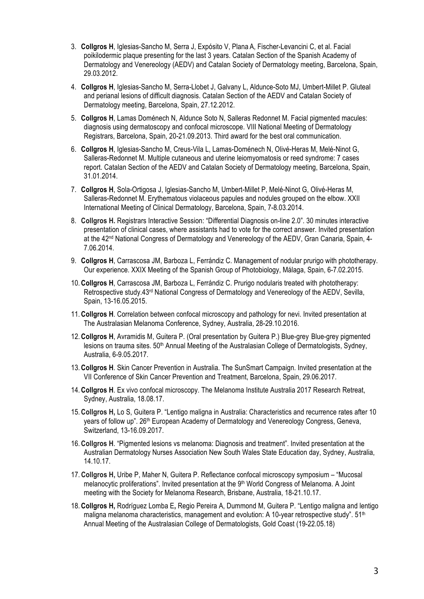- 3. **Collgros H**, Iglesias-Sancho M, Serra J, Expósito V, Plana A, Fischer-Levancini C, et al. Facial poikilodermic plaque presenting for the last 3 years. Catalan Section of the Spanish Academy of Dermatology and Venereology (AEDV) and Catalan Society of Dermatology meeting, Barcelona, Spain, 29.03.2012.
- 4. **Collgros H**, Iglesias-Sancho M, Serra-Llobet J, Galvany L, Aldunce-Soto MJ, Umbert-Millet P. Gluteal and perianal lesions of difficult diagnosis. Catalan Section of the AEDV and Catalan Society of Dermatology meeting, Barcelona, Spain, 27.12.2012.
- 5. **Collgros H**, Lamas Doménech N, Aldunce Soto N, Salleras Redonnet M. Facial pigmented macules: diagnosis using dermatoscopy and confocal microscope. VIII National Meeting of Dermatology Registrars, Barcelona, Spain, 20-21.09.2013. Third award for the best oral communication.
- 6. **Collgros H**, Iglesias-Sancho M, Creus-Vila L, Lamas-Doménech N, Olivé-Heras M, Melé-Ninot G, Salleras-Redonnet M. Multiple cutaneous and uterine leiomyomatosis or reed syndrome: 7 cases report. Catalan Section of the AEDV and Catalan Society of Dermatology meeting, Barcelona, Spain, 31.01.2014.
- 7. **Collgros H**, Sola-Ortigosa J, Iglesias-Sancho M, Umbert-Millet P, Melé-Ninot G, Olivé-Heras M, Salleras-Redonnet M. Erythematous violaceous papules and nodules grouped on the elbow. XXII International Meeting of Clinical Dermatology, Barcelona, Spain, 7-8.03.2014.
- 8. **Collgros H.** Registrars Interactive Session: "Differential Diagnosis on-line 2.0". 30 minutes interactive presentation of clinical cases, where assistants had to vote for the correct answer. Invited presentation at the 42<sup>nd</sup> National Congress of Dermatology and Venereology of the AEDV, Gran Canaria, Spain, 4-7.06.2014.
- 9. **Collgros H**, Carrascosa JM, Barboza L, Ferrándiz C. Management of nodular prurigo with phototherapy. Our experience. XXIX Meeting of the Spanish Group of Photobiology, Málaga, Spain, 6-7.02.2015.
- 10. **Collgros H**, Carrascosa JM, Barboza L, Ferrándiz C. Prurigo nodularis treated with phototherapy: Retrospective study.43<sup>rd</sup> National Congress of Dermatology and Venereology of the AEDV, Sevilla, Spain, 13-16.05.2015.
- 11. **Collgros H**. Correlation between confocal microscopy and pathology for nevi. Invited presentation at The Australasian Melanoma Conference, Sydney, Australia, 28-29.10.2016.
- 12. **Collgros H**, Avramidis M, Guitera P. (Oral presentation by Guitera P.) Blue-grey Blue-grey pigmented lesions on trauma sites. 50<sup>th</sup> Annual Meeting of the Australasian College of Dermatologists, Sydney, Australia, 6-9.05.2017.
- 13. **Collgros H**. Skin Cancer Prevention in Australia. The SunSmart Campaign. Invited presentation at the VII Conference of Skin Cancer Prevention and Treatment, Barcelona, Spain, 29.06.2017.
- 14. **Collgros H**. Ex vivo confocal microscopy. The Melanoma Institute Australia 2017 Research Retreat, Sydney, Australia, 18.08.17.
- 15. **Collgros H,** Lo S, Guitera P. "Lentigo maligna in Australia: Characteristics and recurrence rates after 10 years of follow up". 26<sup>th</sup> European Academy of Dermatology and Venereology Congress, Geneva, Switzerland, 13-16.09.2017.
- 16. **Collgros H**. "Pigmented lesions vs melanoma: Diagnosis and treatment". Invited presentation at the Australian Dermatology Nurses Association New South Wales State Education day, Sydney, Australia, 14.10.17.
- 17. **Collgros H,** Uribe P, Maher N, Guitera P. Reflectance confocal microscopy symposium "Mucosal melanocytic proliferations". Invited presentation at the 9<sup>th</sup> World Congress of Melanoma. A Joint meeting with the Society for Melanoma Research, Brisbane, Australia, 18-21.10.17.
- 18. **Collgros H,** Rodríguez Lomba E**,** Regio Pereira A, Dummond M, Guitera P. "Lentigo maligna and lentigo maligna melanoma characteristics, management and evolution: A 10-year retrospective study".  $51<sup>th</sup>$ Annual Meeting of the Australasian College of Dermatologists, Gold Coast (19-22.05.18)